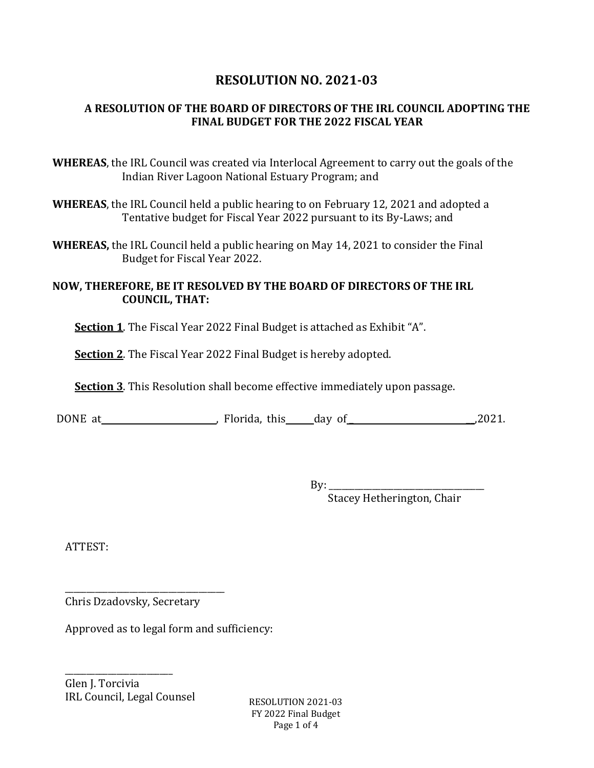## **RESOLUTION NO. 2021-03**

## **A RESOLUTION OF THE BOARD OF DIRECTORS OF THE IRL COUNCIL ADOPTING THE FINAL BUDGET FOR THE 2022 FISCAL YEAR**

- **WHEREAS**, the IRL Council was created via Interlocal Agreement to carry out the goals of the Indian River Lagoon National Estuary Program; and
- **WHEREAS**, the IRL Council held a public hearing to on February 12, 2021 and adopted a Tentative budget for Fiscal Year 2022 pursuant to its By-Laws; and
- **WHEREAS,** the IRL Council held a public hearing on May 14, 2021 to consider the Final Budget for Fiscal Year 2022.

#### **NOW, THEREFORE, BE IT RESOLVED BY THE BOARD OF DIRECTORS OF THE IRL COUNCIL, THAT:**

**Section 1**. The Fiscal Year 2022 Final Budget is attached as Exhibit "A".

**Section 2**. The Fiscal Year 2022 Final Budget is hereby adopted.

**Section 3**. This Resolution shall become effective immediately upon passage.

DONE at <br>
points at the control of the control of the control of the control of the control of the control of the control of the control of the control of the control of the control of the control of the control of the con

By: \_\_\_\_\_\_\_\_\_\_\_\_\_\_\_\_\_\_\_\_\_\_\_\_\_\_\_\_\_\_\_\_\_\_\_\_ Stacey Hetherington, Chair

ATTEST:

\_\_\_\_\_\_\_\_\_\_\_\_\_\_\_\_\_\_\_\_\_\_\_\_\_\_\_\_\_\_\_\_\_\_\_\_\_ Chris Dzadovsky, Secretary

Approved as to legal form and sufficiency:

\_\_\_\_\_\_\_\_\_\_\_\_\_\_\_\_\_\_\_\_\_\_\_\_\_ Glen J. Torcivia IRL Council, Legal Counsel  $RESOLUTION 2021-03$ 

FY 2022 Final Budget Page 1 of 4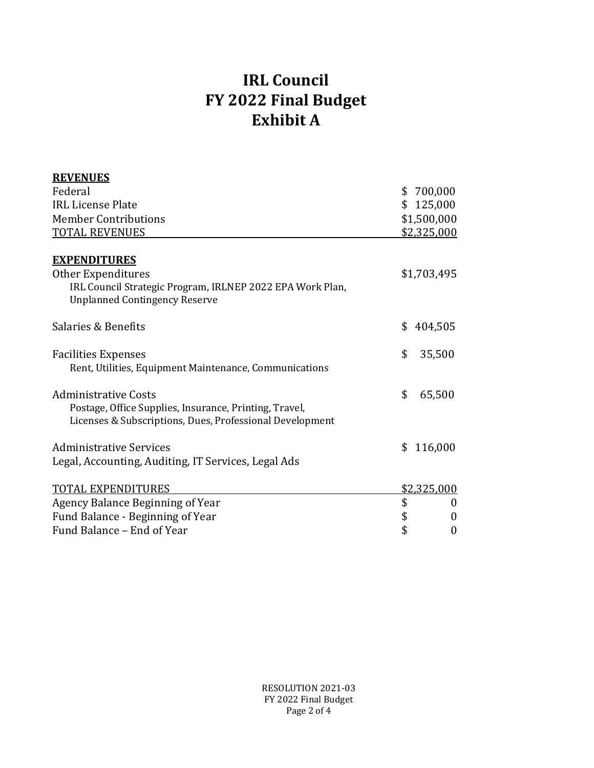# **IRL Council FY 2022 Final Budget Exhibit A**

| \$700,000              |
|------------------------|
| \$125,000              |
| \$1,500,000            |
| \$2,325,000            |
| \$1,703,495            |
| \$<br>404,505          |
| \$<br>35,500           |
| \$<br>65,500           |
| \$<br>116,000          |
| \$2,325,000            |
| \$<br>$\mathbf 0$      |
| \$<br>$\boldsymbol{0}$ |
| $\boldsymbol{0}$       |
| \$                     |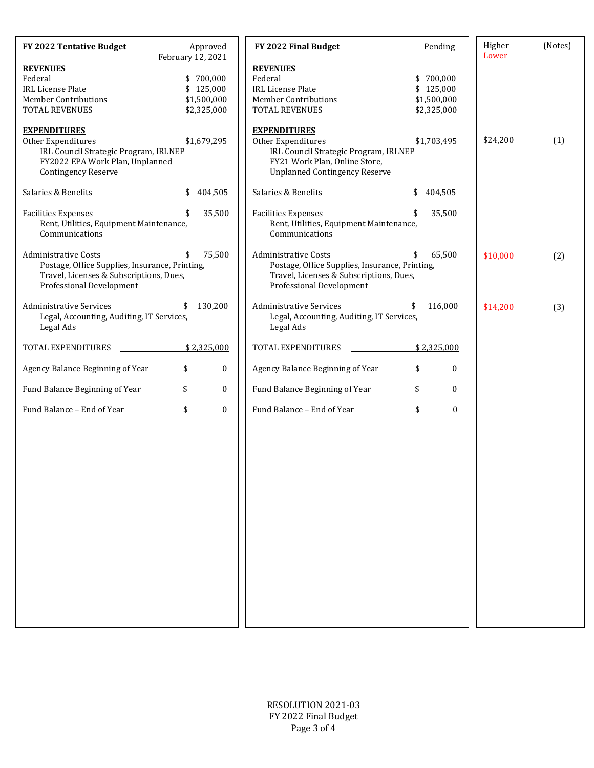| <b>FY 2022 Tentative Budget</b>                                                                                                                      | Approved<br>February 12, 2021                        |                  | FY 2022 Final Budget                                                                                                                                        | Pending                                              | Higher<br>Lower | (Notes) |
|------------------------------------------------------------------------------------------------------------------------------------------------------|------------------------------------------------------|------------------|-------------------------------------------------------------------------------------------------------------------------------------------------------------|------------------------------------------------------|-----------------|---------|
| <b>REVENUES</b><br>Federal<br><b>IRL License Plate</b><br><b>Member Contributions</b><br><b>TOTAL REVENUES</b>                                       | \$700,000<br>\$125,000<br>\$1,500,000<br>\$2,325,000 |                  | <b>REVENUES</b><br>Federal<br><b>IRL License Plate</b><br><b>Member Contributions</b><br><b>TOTAL REVENUES</b>                                              | \$700,000<br>\$125,000<br>\$1,500,000<br>\$2,325,000 |                 |         |
| <b>EXPENDITURES</b><br>Other Expenditures<br>IRL Council Strategic Program, IRLNEP<br>FY2022 EPA Work Plan, Unplanned<br><b>Contingency Reserve</b>  | \$1,679,295                                          |                  | <b>EXPENDITURES</b><br>Other Expenditures<br>IRL Council Strategic Program, IRLNEP<br>FY21 Work Plan, Online Store,<br><b>Unplanned Contingency Reserve</b> | \$1,703,495                                          | \$24,200        | (1)     |
| Salaries & Benefits                                                                                                                                  | \$                                                   | 404,505          | Salaries & Benefits                                                                                                                                         | \$<br>404,505                                        |                 |         |
| <b>Facilities Expenses</b><br>Rent, Utilities, Equipment Maintenance,<br>Communications                                                              |                                                      | 35,500           | <b>Facilities Expenses</b><br>Rent, Utilities, Equipment Maintenance,<br>Communications                                                                     | 35,500                                               |                 |         |
| <b>Administrative Costs</b><br>Postage, Office Supplies, Insurance, Printing,<br>Travel, Licenses & Subscriptions, Dues,<br>Professional Development | \$                                                   | 75,500           | <b>Administrative Costs</b><br>Postage, Office Supplies, Insurance, Printing,<br>Travel, Licenses & Subscriptions, Dues,<br>Professional Development        | 65,500<br>\$                                         | \$10,000        | (2)     |
| <b>Administrative Services</b><br>Legal, Accounting, Auditing, IT Services,<br>Legal Ads                                                             | \$                                                   | 130,200          | <b>Administrative Services</b><br>Legal, Accounting, Auditing, IT Services,<br>Legal Ads                                                                    | \$<br>116,000                                        | \$14,200        | (3)     |
| TOTAL EXPENDITURES                                                                                                                                   | \$2,325,000                                          |                  | TOTAL EXPENDITURES                                                                                                                                          | \$2,325,000                                          |                 |         |
| Agency Balance Beginning of Year                                                                                                                     | \$                                                   | $\boldsymbol{0}$ | Agency Balance Beginning of Year                                                                                                                            | \$<br>0                                              |                 |         |
| Fund Balance Beginning of Year                                                                                                                       | \$                                                   | $\bf{0}$         | Fund Balance Beginning of Year                                                                                                                              | \$<br>$\boldsymbol{0}$                               |                 |         |
| Fund Balance - End of Year                                                                                                                           | \$                                                   | $\mathbf{0}$     | Fund Balance - End of Year                                                                                                                                  | \$<br>$\bf{0}$                                       |                 |         |
|                                                                                                                                                      |                                                      |                  |                                                                                                                                                             |                                                      |                 |         |